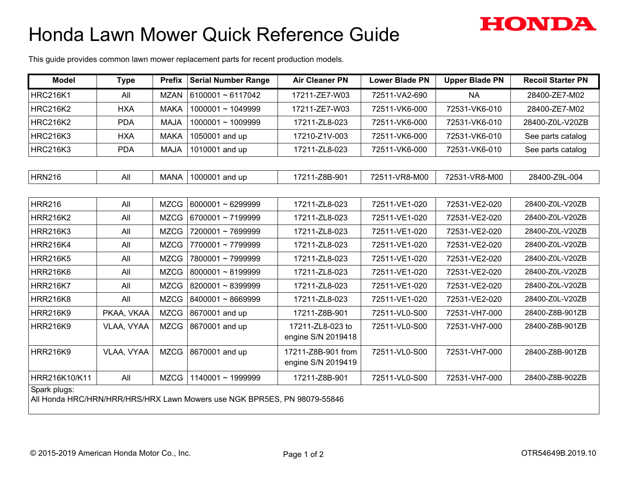## Honda Lawn Mower Quick Reference Guide



| <b>Model</b>    | <b>Type</b>                                                              | <b>Prefix</b> | <b>Serial Number Range</b> | <b>Air Cleaner PN</b>                    | <b>Lower Blade PN</b> | <b>Upper Blade PN</b> | <b>Recoil Starter PN</b> |  |  |  |
|-----------------|--------------------------------------------------------------------------|---------------|----------------------------|------------------------------------------|-----------------------|-----------------------|--------------------------|--|--|--|
| <b>HRC216K1</b> | All                                                                      | <b>MZAN</b>   | $6100001 \approx 6117042$  | 17211-ZE7-W03                            | 72511-VA2-690         | <b>NA</b>             | 28400-ZE7-M02            |  |  |  |
| <b>HRC216K2</b> | <b>HXA</b>                                                               | <b>MAKA</b>   | $1000001 \sim 1049999$     | 17211-ZE7-W03                            | 72511-VK6-000         | 72531-VK6-010         | 28400-ZE7-M02            |  |  |  |
| <b>HRC216K2</b> | <b>PDA</b>                                                               | <b>MAJA</b>   | $1000001 \sim 1009999$     | 17211-ZL8-023                            | 72511-VK6-000         | 72531-VK6-010         | 28400-Z0L-V20ZB          |  |  |  |
| <b>HRC216K3</b> | <b>HXA</b>                                                               | <b>MAKA</b>   | 1050001 and up             | 17210-Z1V-003                            | 72511-VK6-000         | 72531-VK6-010         | See parts catalog        |  |  |  |
| <b>HRC216K3</b> | <b>PDA</b>                                                               | <b>MAJA</b>   | 1010001 and up             | 17211-ZL8-023                            | 72511-VK6-000         | 72531-VK6-010         | See parts catalog        |  |  |  |
|                 |                                                                          |               |                            |                                          |                       |                       |                          |  |  |  |
| <b>HRN216</b>   | All                                                                      | <b>MANA</b>   | 1000001 and up             | 17211-Z8B-901                            | 72511-VR8-M00         | 72531-VR8-M00         | 28400-Z9L-004            |  |  |  |
|                 |                                                                          |               |                            |                                          |                       |                       |                          |  |  |  |
| <b>HRR216</b>   | All                                                                      | <b>MZCG</b>   | $6000001 \sim 6299999$     | 17211-ZL8-023                            | 72511-VE1-020         | 72531-VE2-020         | 28400-Z0L-V20ZB          |  |  |  |
| <b>HRR216K2</b> | All                                                                      | <b>MZCG</b>   | 6700001~7199999            | 17211-ZL8-023                            | 72511-VE1-020         | 72531-VE2-020         | 28400-Z0L-V20ZB          |  |  |  |
| <b>HRR216K3</b> | All                                                                      | <b>MZCG</b>   | 7200001~7699999            | 17211-ZL8-023                            | 72511-VE1-020         | 72531-VE2-020         | 28400-Z0L-V20ZB          |  |  |  |
| <b>HRR216K4</b> | All                                                                      | <b>MZCG</b>   | 7700001~7799999            | 17211-ZL8-023                            | 72511-VE1-020         | 72531-VE2-020         | 28400-Z0L-V20ZB          |  |  |  |
| <b>HRR216K5</b> | All                                                                      | <b>MZCG</b>   | 7800001~7999999            | 17211-ZL8-023                            | 72511-VE1-020         | 72531-VE2-020         | 28400-Z0L-V20ZB          |  |  |  |
| <b>HRR216K6</b> | All                                                                      | <b>MZCG</b>   | 8000001~8199999            | 17211-ZL8-023                            | 72511-VE1-020         | 72531-VE2-020         | 28400-Z0L-V20ZB          |  |  |  |
| <b>HRR216K7</b> | All                                                                      | <b>MZCG</b>   | 8200001~8399999            | 17211-ZL8-023                            | 72511-VE1-020         | 72531-VE2-020         | 28400-Z0L-V20ZB          |  |  |  |
| <b>HRR216K8</b> | All                                                                      | <b>MZCG</b>   | 8400001~8669999            | 17211-ZL8-023                            | 72511-VE1-020         | 72531-VE2-020         | 28400-Z0L-V20ZB          |  |  |  |
| <b>HRR216K9</b> | PKAA, VKAA                                                               | <b>MZCG</b>   | 8670001 and up             | 17211-Z8B-901                            | 72511-VL0-S00         | 72531-VH7-000         | 28400-Z8B-901ZB          |  |  |  |
| <b>HRR216K9</b> | VLAA, VYAA                                                               | <b>MZCG</b>   | 8670001 and up             | 17211-ZL8-023 to<br>engine S/N 2019418   | 72511-VL0-S00         | 72531-VH7-000         | 28400-Z8B-901ZB          |  |  |  |
| <b>HRR216K9</b> | VLAA, VYAA                                                               | <b>MZCG</b>   | 8670001 and up             | 17211-Z8B-901 from<br>engine S/N 2019419 | 72511-VL0-S00         | 72531-VH7-000         | 28400-Z8B-901ZB          |  |  |  |
| HRR216K10/K11   | All                                                                      | MZCG          | 1140001~1999999            | 17211-Z8B-901                            | 72511-VL0-S00         | 72531-VH7-000         | 28400-Z8B-902ZB          |  |  |  |
| Spark plugs:    | All Honda HRC/HRN/HRR/HRS/HRX Lawn Mowers use NGK BPR5ES, PN 98079-55846 |               |                            |                                          |                       |                       |                          |  |  |  |